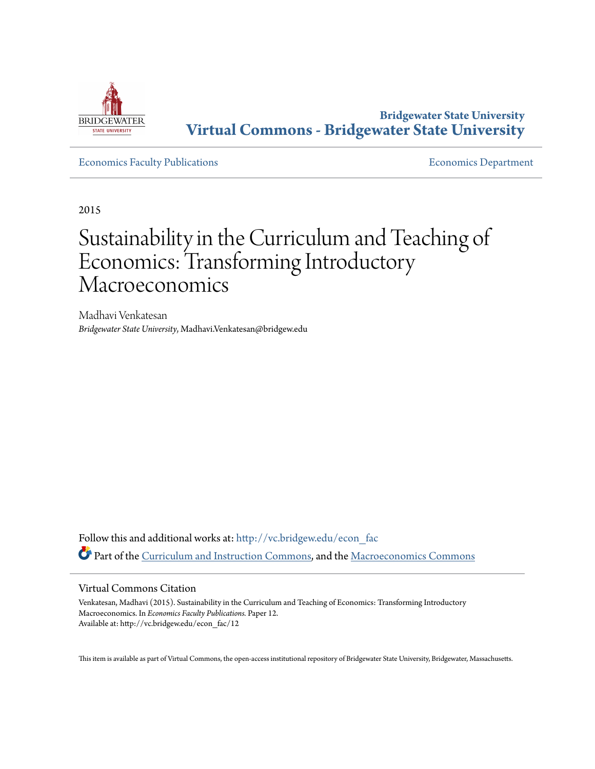

**Bridgewater State University [Virtual Commons - Bridgewater State University](http://vc.bridgew.edu?utm_source=vc.bridgew.edu%2Fecon_fac%2F12&utm_medium=PDF&utm_campaign=PDFCoverPages)**

[Economics Faculty Publications](http://vc.bridgew.edu/econ_fac?utm_source=vc.bridgew.edu%2Fecon_fac%2F12&utm_medium=PDF&utm_campaign=PDFCoverPages) **Economics** Department

2015

# Sustainability in the Curriculum and Teaching of Economics: Transforming Introductory Macroeconomics

Madhavi Venkatesan *Bridgewater State University*, Madhavi.Venkatesan@bridgew.edu

Follow this and additional works at: [http://vc.bridgew.edu/econ\\_fac](http://vc.bridgew.edu/econ_fac?utm_source=vc.bridgew.edu%2Fecon_fac%2F12&utm_medium=PDF&utm_campaign=PDFCoverPages) Part of the [Curriculum and Instruction Commons](http://network.bepress.com/hgg/discipline/786?utm_source=vc.bridgew.edu%2Fecon_fac%2F12&utm_medium=PDF&utm_campaign=PDFCoverPages), and the [Macroeconomics Commons](http://network.bepress.com/hgg/discipline/350?utm_source=vc.bridgew.edu%2Fecon_fac%2F12&utm_medium=PDF&utm_campaign=PDFCoverPages)

#### Virtual Commons Citation

Venkatesan, Madhavi (2015). Sustainability in the Curriculum and Teaching of Economics: Transforming Introductory Macroeconomics. In *Economics Faculty Publications.* Paper 12. Available at: http://vc.bridgew.edu/econ\_fac/12

This item is available as part of Virtual Commons, the open-access institutional repository of Bridgewater State University, Bridgewater, Massachusetts.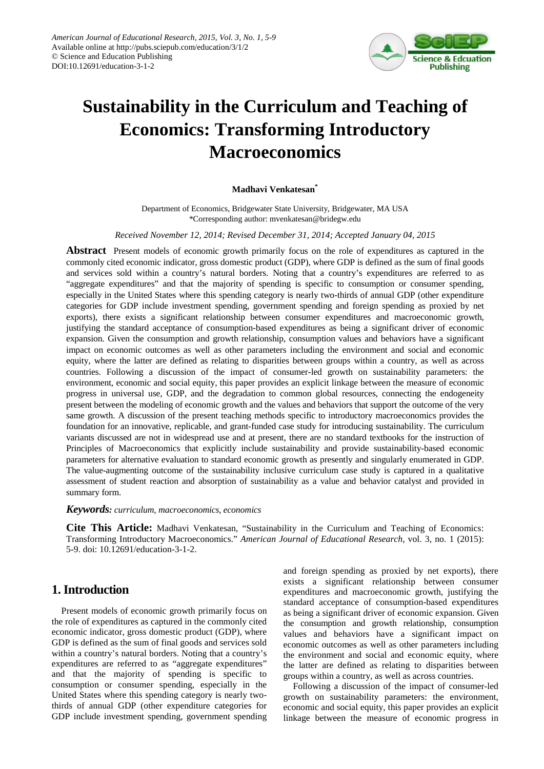

# **Sustainability in the Curriculum and Teaching of Economics: Transforming Introductory Macroeconomics**

#### **Madhavi Venkatesan\***

Department of Economics, Bridgewater State University, Bridgewater, MA USA \*Corresponding author: mvenkatesan@bridegw.edu

*Received November 12, 2014; Revised December 31, 2014; Accepted January 04, 2015*

**Abstract** Present models of economic growth primarily focus on the role of expenditures as captured in the commonly cited economic indicator, gross domestic product (GDP), where GDP is defined as the sum of final goods and services sold within a country's natural borders. Noting that a country's expenditures are referred to as "aggregate expenditures" and that the majority of spending is specific to consumption or consumer spending, especially in the United States where this spending category is nearly two-thirds of annual GDP (other expenditure categories for GDP include investment spending, government spending and foreign spending as proxied by net exports), there exists a significant relationship between consumer expenditures and macroeconomic growth, justifying the standard acceptance of consumption-based expenditures as being a significant driver of economic expansion. Given the consumption and growth relationship, consumption values and behaviors have a significant impact on economic outcomes as well as other parameters including the environment and social and economic equity, where the latter are defined as relating to disparities between groups within a country, as well as across countries. Following a discussion of the impact of consumer-led growth on sustainability parameters: the environment, economic and social equity, this paper provides an explicit linkage between the measure of economic progress in universal use, GDP, and the degradation to common global resources, connecting the endogeneity present between the modeling of economic growth and the values and behaviors that support the outcome of the very same growth. A discussion of the present teaching methods specific to introductory macroeconomics provides the foundation for an innovative, replicable, and grant-funded case study for introducing sustainability. The curriculum variants discussed are not in widespread use and at present, there are no standard textbooks for the instruction of Principles of Macroeconomics that explicitly include sustainability and provide sustainability-based economic parameters for alternative evaluation to standard economic growth as presently and singularly enumerated in GDP. The value-augmenting outcome of the sustainability inclusive curriculum case study is captured in a qualitative assessment of student reaction and absorption of sustainability as a value and behavior catalyst and provided in summary form.

#### *Keywords: curriculum, macroeconomics, economics*

**Cite This Article:** Madhavi Venkatesan, "Sustainability in the Curriculum and Teaching of Economics: Transforming Introductory Macroeconomics." *American Journal of Educational Research*, vol. 3, no. 1 (2015): 5-9. doi: 10.12691/education-3-1-2.

### **1. Introduction**

<span id="page-1-0"></span>Present models of economic growth primarily focus on the role of expenditures as captured in the commonly cited economic indicator, gross domestic product (GDP), where GDP is defined as the sum of final goods and services sold within a country's natural borders. Noting that a country's expenditures are referred to as "aggregate expenditures" and that the majority of spending is specific to consumption or consumer spending, especially in the United States where this spending category is nearly twothirds of annual GDP (other expenditure categories for GDP include investment spending, government spending and foreign spending as proxied by net exports), there exists a significant relationship between consumer expenditures and macroeconomic growth, justifying the standard acceptance of consumption-based expenditures as being a significant driver of economic expansion. Given the consumption and growth relationship, consumption values and behaviors have a significant impact on economic outcomes as well as other parameters including the environment and social and economic equity, where the latter are defined as relating to disparities between groups within a country, as well as across countries.

Following a discussion of the impact of consumer-led growth on sustainability parameters: the environment, economic and social equity, this paper provides an explicit linkage between the measure of economic progress in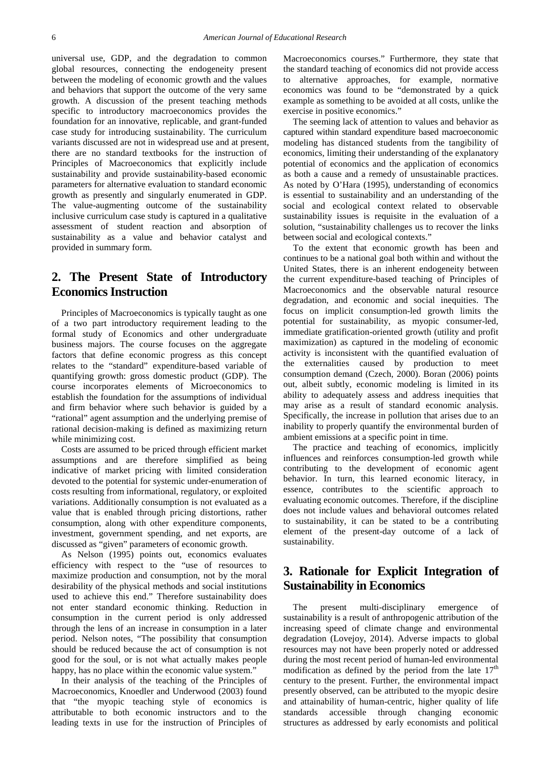universal use, GDP, and the degradation to common global resources, connecting the endogeneity present between the modeling of economic growth and the values and behaviors that support the outcome of the very same growth. A discussion of the present teaching methods specific to introductory macroeconomics provides the foundation for an innovative, replicable, and grant-funded case study for introducing sustainability. The curriculum variants discussed are not in widespread use and at present, there are no standard textbooks for the instruction of Principles of Macroeconomics that explicitly include sustainability and provide sustainability-based economic parameters for alternative evaluation to standard economic growth as presently and singularly enumerated in GDP. The value-augmenting outcome of the sustainability inclusive curriculum case study is captured in a qualitative assessment of student reaction and absorption of sustainability as a value and behavior catalyst and provided in summary form.

## **2. The Present State of Introductory Economics Instruction**

Principles of Macroeconomics is typically taught as one of a two part introductory requirement leading to the formal study of Economics and other undergraduate business majors. The course focuses on the aggregate factors that define economic progress as this concept relates to the "standard" expenditure-based variable of quantifying growth: gross domestic product (GDP). The course incorporates elements of Microeconomics to establish the foundation for the assumptions of individual and firm behavior where such behavior is guided by a "rational" agent assumption and the underlying premise of rational decision-making is defined as maximizing return while minimizing cost.

Costs are assumed to be priced through efficient market assumptions and are therefore simplified as being indicative of market pricing with limited consideration devoted to the potential for systemic under-enumeration of costs resulting from informational, regulatory, or exploited variations. Additionally consumption is not evaluated as a value that is enabled through pricing distortions, rather consumption, along with other expenditure components, investment, government spending, and net exports, are discussed as "given" parameters of economic growth.

As Nelson (1995) points out, economics evaluates efficiency with respect to the "use of resources to maximize production and consumption, not by the moral desirability of the physical methods and social institutions used to achieve this end." Therefore sustainability does not enter standard economic thinking. Reduction in consumption in the current period is only addressed through the lens of an increase in consumption in a later period. Nelson notes, "The possibility that consumption should be reduced because the act of consumption is not good for the soul, or is not what actually makes people happy, has no place within the economic value system."

In their analysis of the teaching of the Principles of Macroeconomics, Knoedler and Underwood (2003) found that "the myopic teaching style of economics is attributable to both economic instructors and to the leading texts in use for the instruction of Principles of Macroeconomics courses." Furthermore, they state that the standard teaching of economics did not provide access to alternative approaches, for example, normative economics was found to be "demonstrated by a quick example as something to be avoided at all costs, unlike the exercise in positive economics."

The seeming lack of attention to values and behavior as captured within standard expenditure based macroeconomic modeling has distanced students from the tangibility of economics, limiting their understanding of the explanatory potential of economics and the application of economics as both a cause and a remedy of unsustainable practices. As noted by O'Hara (1995), understanding of economics is essential to sustainability and an understanding of the social and ecological context related to observable sustainability issues is requisite in the evaluation of a solution, "sustainability challenges us to recover the links between social and ecological contexts."

To the extent that economic growth has been and continues to be a national goal both within and without the United States, there is an inherent endogeneity between the current expenditure-based teaching of Principles of Macroeconomics and the observable natural resource degradation, and economic and social inequities. The focus on implicit consumption-led growth limits the potential for sustainability, as myopic consumer-led, immediate gratification-oriented growth (utility and profit maximization) as captured in the modeling of economic activity is inconsistent with the quantified evaluation of the externalities caused by production to meet consumption demand (Czech, 2000). Boran (2006) points out, albeit subtly, economic modeling is limited in its ability to adequately assess and address inequities that may arise as a result of standard economic analysis. Specifically, the increase in pollution that arises due to an inability to properly quantify the environmental burden of ambient emissions at a specific point in time.

The practice and teaching of economics, implicitly influences and reinforces consumption-led growth while contributing to the development of economic agent behavior. In turn, this learned economic literacy, in essence, contributes to the scientific approach to evaluating economic outcomes. Therefore, if the discipline does not include values and behavioral outcomes related to sustainability, it can be stated to be a contributing element of the present-day outcome of a lack of sustainability.

### **3. Rationale for Explicit Integration of Sustainability in Economics**

The present multi-disciplinary emergence of sustainability is a result of anthropogenic attribution of the increasing speed of climate change and environmental degradation (Lovejoy, 2014). Adverse impacts to global resources may not have been properly noted or addressed during the most recent period of human-led environmental modification as defined by the period from the late  $17<sup>th</sup>$ century to the present. Further, the environmental impact presently observed, can be attributed to the myopic desire and attainability of human-centric, higher quality of life standards accessible through changing economic structures as addressed by early economists and political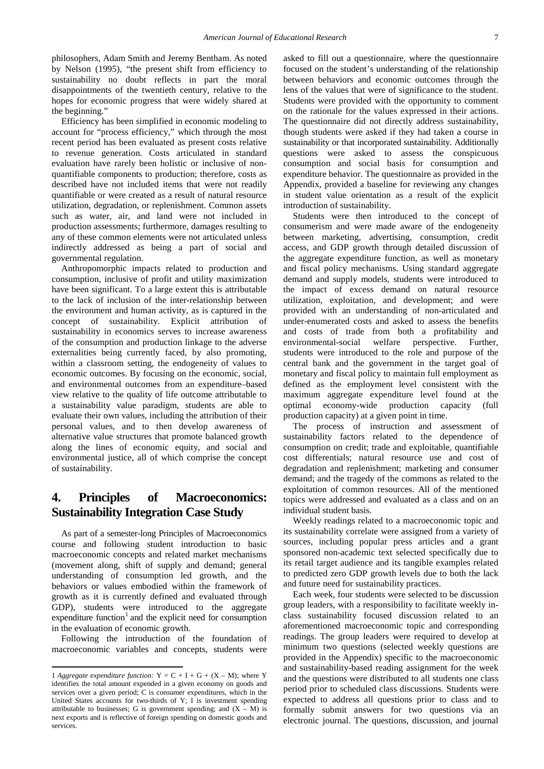philosophers, Adam Smith and Jeremy Bentham. As noted by Nelson (1995), "the present shift from efficiency to sustainability no doubt reflects in part the moral disappointments of the twentieth century, relative to the hopes for economic progress that were widely shared at the beginning."

Efficiency has been simplified in economic modeling to account for "process efficiency," which through the most recent period has been evaluated as present costs relative to revenue generation. Costs articulated in standard evaluation have rarely been holistic or inclusive of nonquantifiable components to production; therefore, costs as described have not included items that were not readily quantifiable or were created as a result of natural resource utilization, degradation, or replenishment. Common assets such as water, air, and land were not included in production assessments; furthermore, damages resulting to any of these common elements were not articulated unless indirectly addressed as being a part of social and governmental regulation.

Anthropomorphic impacts related to production and consumption, inclusive of profit and utility maximization have been significant. To a large extent this is attributable to the lack of inclusion of the inter-relationship between the environment and human activity, as is captured in the concept of sustainability. Explicit attribution of sustainability in economics serves to increase awareness of the consumption and production linkage to the adverse externalities being currently faced, by also promoting, within a classroom setting, the endogeneity of values to economic outcomes. By focusing on the economic, social, and environmental outcomes from an expenditure–based view relative to the quality of life outcome attributable to a sustainability value paradigm, students are able to evaluate their own values, including the attribution of their personal values, and to then develop awareness of alternative value structures that promote balanced growth along the lines of economic equity, and social and environmental justice, all of which comprise the concept of sustainability.

## **4. Principles of Macroeconomics: Sustainability Integration Case Study**

As part of a semester-long Principles of Macroeconomics course and following student introduction to basic macroeconomic concepts and related market mechanisms (movement along, shift of supply and demand; general understanding of consumption led growth, and the behaviors or values embodied within the framework of growth as it is currently defined and evaluated through GDP), students were introduced to the aggregate expenditure function $<sup>1</sup>$  $<sup>1</sup>$  $<sup>1</sup>$  and the explicit need for consumption</sup> in the evaluation of economic growth.

Following the introduction of the foundation of macroeconomic variables and concepts, students were

<u>.</u>

asked to fill out a questionnaire, where the questionnaire focused on the student's understanding of the relationship between behaviors and economic outcomes through the lens of the values that were of significance to the student. Students were provided with the opportunity to comment on the rationale for the values expressed in their actions. The questionnaire did not directly address sustainability, though students were asked if they had taken a course in sustainability or that incorporated sustainability. Additionally questions were asked to assess the conspicuous consumption and social basis for consumption and expenditure behavior. The questionnaire as provided in the Appendix, provided a baseline for reviewing any changes in student value orientation as a result of the explicit introduction of sustainability.

Students were then introduced to the concept of consumerism and were made aware of the endogeneity between marketing, advertising, consumption, credit access, and GDP growth through detailed discussion of the aggregate expenditure function, as well as monetary and fiscal policy mechanisms. Using standard aggregate demand and supply models, students were introduced to the impact of excess demand on natural resource utilization, exploitation, and development; and were provided with an understanding of non-articulated and under-enumerated costs and asked to assess the benefits and costs of trade from both a profitability and environmental-social welfare perspective. Further, students were introduced to the role and purpose of the central bank and the government in the target goal of monetary and fiscal policy to maintain full employment as defined as the employment level consistent with the maximum aggregate expenditure level found at the optimal economy-wide production capacity (full production capacity) at a given point in time.

The process of instruction and assessment of sustainability factors related to the dependence of consumption on credit; trade and exploitable, quantifiable cost differentials; natural resource use and cost of degradation and replenishment; marketing and consumer demand; and the tragedy of the commons as related to the exploitation of common resources. All of the mentioned topics were addressed and evaluated as a class and on an individual student basis.

Weekly readings related to a macroeconomic topic and its sustainability correlate were assigned from a variety of sources, including popular press articles and a grant sponsored non-academic text selected specifically due to its retail target audience and its tangible examples related to predicted zero GDP growth levels due to both the lack and future need for sustainability practices.

Each week, four students were selected to be discussion group leaders, with a responsibility to facilitate weekly inclass sustainability focused discussion related to an aforementioned macroeconomic topic and corresponding readings. The group leaders were required to develop at minimum two questions (selected weekly questions are provided in the Appendix) specific to the macroeconomic and sustainability-based reading assignment for the week and the questions were distributed to all students one class period prior to scheduled class discussions. Students were expected to address all questions prior to class and to formally submit answers for two questions via an electronic journal. The questions, discussion, and journal

<sup>1</sup> Aggregate expenditure function:  $Y = C + I + G + (X - M)$ ; where Y identifies the total amount expended in a given economy on goods and services over a given period;  $\overline{C}$  is consumer expenditures, which in the United States accounts for two-thirds of Y; I is investment spending attributable to businesses; G is government spending; and  $(X - M)$  is next exports and is reflective of foreign spending on domestic goods and services.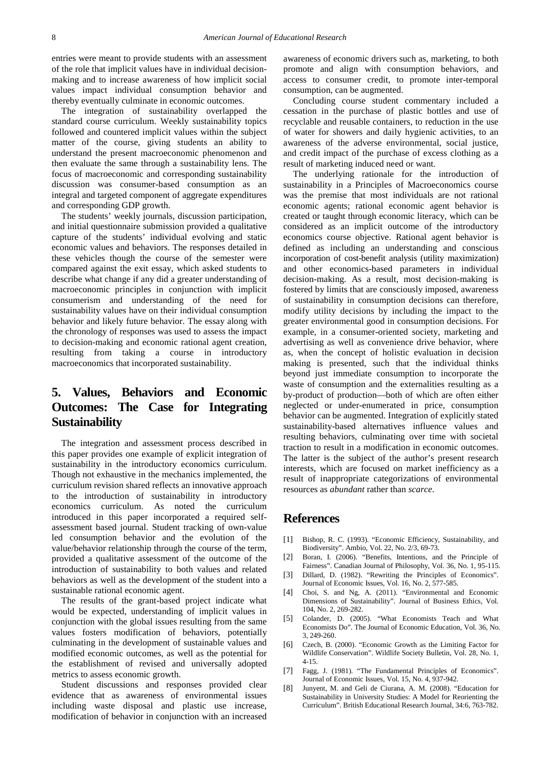entries were meant to provide students with an assessment of the role that implicit values have in individual decisionmaking and to increase awareness of how implicit social values impact individual consumption behavior and thereby eventually culminate in economic outcomes.

The integration of sustainability overlapped the standard course curriculum. Weekly sustainability topics followed and countered implicit values within the subject matter of the course, giving students an ability to understand the present macroeconomic phenomenon and then evaluate the same through a sustainability lens. The focus of macroeconomic and corresponding sustainability discussion was consumer-based consumption as an integral and targeted component of aggregate expenditures and corresponding GDP growth.

The students' weekly journals, discussion participation, and initial questionnaire submission provided a qualitative capture of the students' individual evolving and static economic values and behaviors. The responses detailed in these vehicles though the course of the semester were compared against the exit essay, which asked students to describe what change if any did a greater understanding of macroeconomic principles in conjunction with implicit consumerism and understanding of the need for sustainability values have on their individual consumption behavior and likely future behavior. The essay along with the chronology of responses was used to assess the impact to decision-making and economic rational agent creation, resulting from taking a course in introductory macroeconomics that incorporated sustainability.

# **5. Values, Behaviors and Economic Outcomes: The Case for Integrating Sustainability**

The integration and assessment process described in this paper provides one example of explicit integration of sustainability in the introductory economics curriculum. Though not exhaustive in the mechanics implemented, the curriculum revision shared reflects an innovative approach to the introduction of sustainability in introductory economics curriculum. As noted the curriculum introduced in this paper incorporated a required selfassessment based journal. Student tracking of own-value led consumption behavior and the evolution of the value/behavior relationship through the course of the term, provided a qualitative assessment of the outcome of the introduction of sustainability to both values and related behaviors as well as the development of the student into a sustainable rational economic agent.

The results of the grant-based project indicate what would be expected, understanding of implicit values in conjunction with the global issues resulting from the same values fosters modification of behaviors, potentially culminating in the development of sustainable values and modified economic outcomes, as well as the potential for the establishment of revised and universally adopted metrics to assess economic growth.

Student discussions and responses provided clear evidence that as awareness of environmental issues including waste disposal and plastic use increase, modification of behavior in conjunction with an increased

awareness of economic drivers such as, marketing, to both promote and align with consumption behaviors, and access to consumer credit, to promote inter-temporal consumption, can be augmented.

Concluding course student commentary included a cessation in the purchase of plastic bottles and use of recyclable and reusable containers, to reduction in the use of water for showers and daily hygienic activities, to an awareness of the adverse environmental, social justice, and credit impact of the purchase of excess clothing as a result of marketing induced need or want.

The underlying rationale for the introduction of sustainability in a Principles of Macroeconomics course was the premise that most individuals are not rational economic agents; rational economic agent behavior is created or taught through economic literacy, which can be considered as an implicit outcome of the introductory economics course objective. Rational agent behavior is defined as including an understanding and conscious incorporation of cost-benefit analysis (utility maximization) and other economics-based parameters in individual decision-making. As a result, most decision-making is fostered by limits that are consciously imposed, awareness of sustainability in consumption decisions can therefore, modify utility decisions by including the impact to the greater environmental good in consumption decisions. For example, in a consumer-oriented society, marketing and advertising as well as convenience drive behavior, where as, when the concept of holistic evaluation in decision making is presented, such that the individual thinks beyond just immediate consumption to incorporate the waste of consumption and the externalities resulting as a by-product of production—both of which are often either neglected or under-enumerated in price, consumption behavior can be augmented. Integration of explicitly stated sustainability-based alternatives influence values and resulting behaviors, culminating over time with societal traction to result in a modification in economic outcomes. The latter is the subject of the author's present research interests, which are focused on market inefficiency as a result of inappropriate categorizations of environmental resources as *abundant* rather than *scarce*.

#### **References**

- [1] Bishop, R. C. (1993). "Economic Efficiency, Sustainability, and Biodiversity". Ambio, Vol. 22, No. 2/3, 69-73.
- [2] Boran, I. (2006). "Benefits, Intentions, and the Principle of Fairness". Canadian Journal of Philosophy, Vol. 36, No. 1, 95-115.
- [3] Dillard, D. (1982). "Rewriting the Principles of Economics". Journal of Economic Issues, Vol. 16, No. 2, 577-585.
- [4] Choi, S. and Ng, A. (2011). "Environmental and Economic Dimensions of Sustainability". Journal of Business Ethics, Vol. 104, No. 2, 269-282.
- [5] Colander, D. (2005). "What Economists Teach and What Economists Do". The Journal of Economic Education, Vol. 36, No. 3, 249-260.
- [6] Czech, B. (2000). "Economic Growth as the Limiting Factor for Wildlife Conservation". Wildlife Society Bulletin, Vol. 28, No. 1, 4-15.
- [7] Fagg, J. (1981). "The Fundamental Principles of Economics". Journal of Economic Issues, Vol. 15, No. 4, 937-942.
- [8] Junyent, M. and Geli de Ciurana, A. M. (2008). "Education for Sustainability in University Studies: A Model for Reorienting the Curriculum". British Educational Research Journal, 34:6, 763-782.